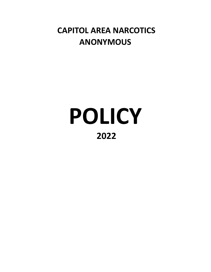# **CAPITOL AREA NARCOTICS ANONYMOUS**

# **POLICY 2022**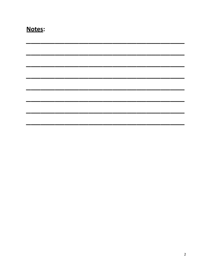| N<br>ſ.<br>Δ<br>O۱<br>г<br>n |
|------------------------------|
|------------------------------|

| والمستر المستر والمستر المستر المستر المستر المستر المستر المستر المستر المستر المستر المستر المستر المستر المستر المستر |  |  |                                                                                                                       |
|--------------------------------------------------------------------------------------------------------------------------|--|--|-----------------------------------------------------------------------------------------------------------------------|
| المسافسة المسافسة المسافسة المسافسة المسافسة المسافسة المسافسة المسافسة المسافسة المسافسة المسافسة المسافسة              |  |  |                                                                                                                       |
|                                                                                                                          |  |  |                                                                                                                       |
| <u>kan kan alaman perangan perangan perangan perangan perangan perangan perangan perangan perangan perangan peran</u>    |  |  |                                                                                                                       |
|                                                                                                                          |  |  | <u> 1980 - Andrew Marian, Amerikaansk filozof (</u><br>_______                                                        |
|                                                                                                                          |  |  | <u> Andrew Schwarzen und der Stadt und der Stadt und der Stadt und der Stadt und der Stadt und der Stadt und der </u> |
|                                                                                                                          |  |  |                                                                                                                       |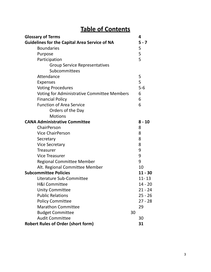# **Table of Contents**

| <b>Glossary of Terms</b>                             |    | 4         |
|------------------------------------------------------|----|-----------|
| <b>Guidelines for the Capital Area Service of NA</b> |    | $5 - 7$   |
| <b>Boundaries</b>                                    |    | 5         |
| Purpose                                              |    | 5         |
| Participation                                        |    | 5         |
| <b>Group Service Representatives</b>                 |    |           |
| Subcommittees                                        |    |           |
| Attendance                                           |    | 5         |
| <b>Expenses</b>                                      |    | 5         |
| <b>Voting Procedures</b>                             |    | $5-6$     |
| Voting for Administrative Committee Members          |    | 6         |
| <b>Financial Policy</b>                              |    | 6         |
| <b>Function of Area Service</b>                      |    | 6         |
| Orders of the Day                                    |    |           |
| <b>Motions</b>                                       |    |           |
| <b>CANA Administrative Committee</b>                 |    | $8 - 10$  |
| ChairPerson                                          |    | 8         |
| <b>Vice ChairPerson</b>                              |    | 8         |
| Secretary                                            |    | 8         |
| <b>Vice Secretary</b>                                |    | 8         |
| <b>Treasurer</b>                                     |    | 9         |
| <b>Vice Treasurer</b>                                |    | 9         |
| <b>Regional Committee Member</b>                     |    | 9         |
| Alt. Regional Committee Member                       |    | 10        |
| <b>Subcommittee Policies</b>                         |    | $11 - 30$ |
| Literature Sub-Committee                             |    | $11 - 13$ |
| <b>H&amp;I Committee</b>                             |    | $14 - 20$ |
| <b>Unity Committee</b>                               |    | $21 - 24$ |
| <b>Public Relations</b>                              |    | $25 - 26$ |
| <b>Policy Committee</b>                              |    | $27 - 28$ |
| <b>Marathon Committee</b>                            |    | 29        |
| <b>Budget Committee</b>                              | 30 |           |
| <b>Audit Committee</b>                               |    | 30        |
| <b>Robert Rules of Order (short form)</b>            |    | 31        |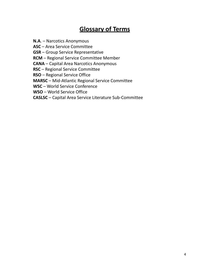# **Glossary of Terms**

**N.A**. – Narcotics Anonymous

**ASC** – Area Service Committee

**GSR** – Group Service Representative

**RCM** – Regional Service Committee Member

**CANA** – Capital Area Narcotics Anonymous

**RSC** – Regional Service Committee

**RSO** – Regional Service Office

**MARSC** – Mid-Atlantic Regional Service Committee

**WSC** – World Service Conference

**WSO** – World Service Office

**CASLSC** – Capital Area Service Literature Sub-Committee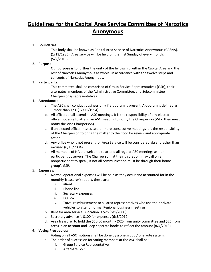# **Guidelines for the Capital Area Service Committee of Narcotics Anonymous**

#### 1. **Boundaries:**

This body shall be known as Capital Area Service of Narcotics Anonymous (CASNA). (1/13/1985). Area service will be held on the first Sunday of every month. (5/2/2010)

#### 2. **Purpose:**

Our purpose is to further the unity of the fellowship within the Capital Area and the rest of Narcotics Anonymous as whole, in accordance with the twelve steps and concepts of Narcotics Anonymous.

#### 3. **Participants:**

This committee shall be comprised of Group Service Representatives (GSR), their alternates, members of the Administrative Committee, and Subcommittee Chairpersons/Representatives.

#### 4. **Attendance:**

- a. The ASC shall conduct business only if a quorum is present. A quorum is defined as 1 more than 1/3. (12/11/1994)
- b. All officers shall attend all ASC meetings. It is the responsibility of any elected officer not able to attend an ASC meeting to notify the Chairperson (Who then must notify the Vice Chairperson).
- c. If an elected officer misses two or more consecutive meetings it is the responsibility of the Chairperson to bring the matter to the floor for review and appropriate action.
- d. Any office who is not present for Area Service will be considered absent rather than excused (6/13/2004)
- e. All members of NA are welcome to attend all regular ASC meetings as non participant observers. The Chairperson, at their discretion, may call on a nonparticipant to speak, if not all communication must be through their home group's GSR.

#### 5. **Expenses:**

- a. Normal operational expenses will be paid as they occur and accounted for in the monthly Treasurer's report, these are:
	- i. iiRent
	- ii. Phone line
	- iii. Secretary expenses
	- iv. PO Box
	- v. Travel reimbursement to all area representatives who use their private vehicles to attend normal Regional business meetings
- b. Rent for area service is location is \$25 (6/1/2000)
- c. Secretary advance is \$100 for expenses (6/3/2012)
- d. Area treasurer to hold the \$50.00 monthly (\$25 from unity committee and \$25 from area) in an account and keep separate books to reflect the amount (8/4/2013)

#### 6. **Voting Procedures:**

Voting on all ASC motions shall be done by a one group / one vote system.

- a. The order of succession for voting members at the ASC shall be:
	- i. Group Service Representative
	- ii. Alternate GSR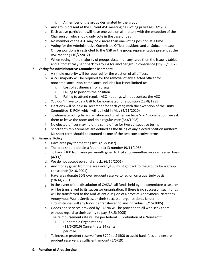- iii. A member of the group designated by the group
- b. Any group present at the current ASC meeting has voting privileges  $(4/1/07)$
- c. Each active participant will have one vote on all matters with the exception of the Chairperson who should only vote in the case of ties
- d. No member of the ASC may hold more than one voting position at a time
- e. Voting for the Administrative Committee Officer positions and all Subcommittee Officer positions is restricted to the GSR or the group representative present at the ASC meeting (10/7/2012)
- f. When voting, if the majority of groups abstain on any issue then the issue is tabled and automatically sent back to groups for another group conscience (11/08/1987)

## 7. **Voting for Administrative Committee Members:**

- a. A simple majority will be required for the election of all officers
- b. A 2/3 majority will be required for the removal of any elected officer for noncompliance. Non-compliance includes but is not limited to:
	- i. Loss of abstinence from drugs
	- ii. Failing to perform the position
	- iii. Failing to attend regular ASC meetings without contact the ASC
- c. You don't have to be a GSR to be nominated for a position (12/8/1985)
- d. Elections will be held in December for each year, with the exception of the Unity Committee & RCM which will be held in May (4/11/2010)
- e. To eliminate voting by acclamation and whether we have 5 or 1 nomination, we ask them to leave the room and do a regular vote (3/3/1998)
- f. No elected officer may hold the same office for two consecutive terms
- g. Short-term replacements are defined as the filling of any elected position midterm. No short term should be counted as one of the two consecutive terms

## 8. **Financial Policy:**

- a. Have area pay for meeting list (4/12/1987)
- b. The area should obtain a federal tax ID number (9/11/1988)
- c. To have \$100 from area per month given to H&I subcommittee on as a needed basis (4/11/1995)
- d. We do not accept personal checks (6/10/2001)
- e. Any money given from the area over \$100 must go back to the groups for a group conscience (6/10/2001)
- f. Have area donate 50% over prudent reserve to region on a quarterly basis (10/14/2001)
- g. In the event of the dissolution of CASNA, all funds held by the committee treasurer will be transferred to its successor organization. If there is no successor, such funds will be transferred to the Mid-Atlantic Region of Narcotics Anonymous, Narcotics Anonymous World Services, or their successor organizations. Under no circumstances will any funds be transferred to any individual (5/15/2005)
- h. Goods and services provided by CASNA will be provided to all who seek them without regard to their ability to pay (5/15/2005)
- i. The reimbursement rate will be per federal IRS definition of a Non-Profit
	- i. (Charitable Organization) (11/6/2016) Current rate 14 cents per mile
- j. To increase prudent reserve from \$700 to \$1500 to avoid bank fees and ensure prudent reserve is a sufficient amount (5/5/19)

# 9. **Function of Area Service**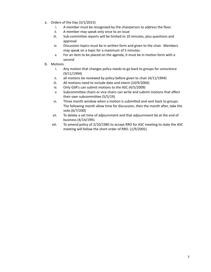- a. Orders of the Day (3/1/2015)
	- i. A member must be recognized by the chairperson to address the floor.
	- ii. A member may speak only once to an issue
	- iii. Sub-committee reports will be limited to 10 minutes, plus questions and approval
	- iv. Discussion topics must be in written form and given to the chair. Members may speak on a topic for a maximum of 5 minutes.
	- v. For an item to be placed on the agenda, it must be in motion form with a second
- b. Motions
	- i. Any motion that changes policy needs to go back to groups for conscience (9/11/1994)
	- ii. all motions be reviewed by policy before given to chair (4/11/1994)
	- iii. All motions need to include date and intent (10/9/2004)
	- iv. Only GSR's can submit motions to the ASC (4/5/2009)
	- v. Subcommittee chairs or vice chairs can write and submit motions that affect their own subcommittee (5/5/19)
	- vi. Three month window when a motion is submitted and sent back to groups. The following month allow time for discussion, then the month after, take the vote.(6/7/200)
	- vii. To delete a set time of adjournment and that adjournment be at the end of business (4/14/1991
	- viii. To amend policy of 2/10/1985 to accept RRO for ASC meeting to state the ASC meeting will follow the short order of RRO. (1/9/2005)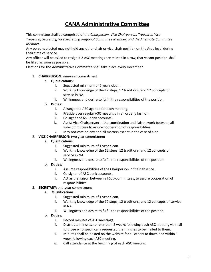# **CANA Administrative Committee**

This committee shall be comprised of the *Chairperson, Vice Chairperson, Treasurer, Vice Treasurer, Secretary, Vice Secretary, Regional Committee Member, and the Alternate Committee Member*.

Any persons elected may not hold any other chair or vice-chair position on the Area level during their time of service.

Any officer will be asked to resign if 2 ASC meetings are missed in a row, that vacant position shall be filled as soon as possible.

Elections for the Administrative Committee shall take place every December.

#### 1. **CHAIRPERSON**: one-year commitment

#### a. **Qualifications:**

- i. Suggested minimum of 2 years clean.
- ii. Working knowledge of the 12 steps, 12 traditions, and 12 concepts of service in NA.
- iii. Willingness and desire to fulfill the responsibilities of the position.

#### b. **Duties:**

- i. Arrange the ASC agenda for each meeting.
- ii. Preside over regular ASC meetings in an orderly fashion.
- iii. Co-signer of ASC bank accounts.
- iv. Assist Vice Chairperson in the coordination and liaison work between all sub-committees to assure cooperation of responsibilities
- v. May not vote on any and all matters except in the case of a tie.

#### 2. **VICE CHAIRPERSON**: two year commitment

#### a. **Qualifications:**

- i. Suggested minimum of 1 year clean.
- ii. Working knowledge of the 12 steps, 12 traditions, and 12 concepts of service in NA.
- iii. Willingness and desire to fulfill the responsibilities of the position.

#### b. **Duties:**

- i. Assume responsibilities of the Chairperson in their absence.
- ii. Co-signer of ASC bank accounts.
- iii. Act as the liaison between all Sub-committees, to assure cooperation of responsibilities.

#### 3. **SECRETARY:** one-year commitment

#### a. **Qualifications:**

- i. Suggested minimum of 1 year clean.
- ii. Working knowledge of the 12 steps, 12 traditions, and 12 concepts of service in NA.
- iii. Willingness and desire to fulfill the responsibilities of the position.

#### b. **Duties:**

- i. Record minutes of ASC meetings.
- ii. Distribute minutes no later than 2 weeks following each ASC meeting via mail to those who specifically requested the minutes to be mailed to them.
- iii. Minutes shall be posted on the website for all others to download within 1 week following each ASC meeting.
- iv. Call attendance at the beginning of each ASC meeting.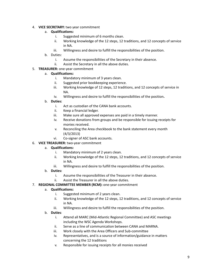- 4. **VICE SECRETARY:** two year commitment
	- a. **Qualifications:**
		- i. Suggested minimum of 6 months clean.
		- ii. Working knowledge of the 12 steps, 12 traditions, and 12 concepts of service in NA.
		- iii. Willingness and desire to fulfill the responsibilities of the position.
	- b. Duties:
		- i. Assume the responsibilities of the Secretary in their absence.
		- ii. Assist the Secretary in all the above duties.
- 5. **TREASURER:** one-year commitment
	- a. **Qualifications:**
		- i. Mandatory minimum of 3 years clean.
		- ii. Suggested prior bookkeeping experience.
		- iii. Working knowledge of 12 steps, 12 traditions, and 12 concepts of service in NA.
		- iv. Willingness and desire to fulfill the responsibilities of the position**.**

#### b. **Duties:**

- i. Act as custodian of the CANA bank accounts.
- ii. Keep a financial ledger.
- iii. Make sure all approved expenses are paid in a timely manner.
- iv. Receive donations from groups and be responsible for issuing receipts for monies received.
- v. Reconciling the Area checkbook to the bank statement every month (4/3/2013)
- vi. Co-signer of ASC bank accounts.
- 6. **VICE TREASURER:** two-year commitment

#### a. **Qualifications:**

- i. Mandatory minimum of 2 years clean.
- ii. Working knowledge of the 12 steps, 12 traditions, and 12 concepts of service in NA.
- iii. Willingness and desire to fulfill the responsibilities of the position.
- b. **Duties:**
	- i. Assume the responsibilities of the Treasurer in their absence.
	- ii. Assist the Treasurer in all the above duties.

#### 7. **REGIONAL COMMITTEE MEMBER (RCM):** one-year commitment

#### a. **Qualifications:**

- i. Suggested minimum of 2 years clean.
- ii. Working knowledge of the 12 steps, 12 traditions, and 12 concepts of service in NA.
- iii. Willingness and desire to fulfill the responsibilities of the position.

## b. **Duties**:

- i. Attend all MARC (Mid-Atlantic Regional Committee) and ASC meetings including the WSC Agenda Workshops.
- ii. Serve as a line of communication between CANA and MARNA.
- iii. Work closely with the Area Officers and Sub-committee
- iv. Representatives, and is a source of information/guidance in matters concerning the 12 traditions
- v. Responsible for issuing receipts for all monies received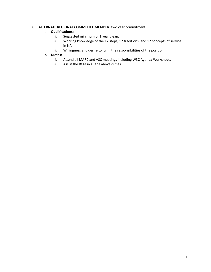## 8. **ALTERNATE REGIONAL COMMITTEE MEMBER:** two year commitment

#### a. **Qualifications:**

- i. Suggested minimum of 1 year clean.
- ii. Working knowledge of the 12 steps, 12 traditions, and 12 concepts of service in NA.
- iii. Willingness and desire to fulfill the responsibilities of the position.

#### b. **Duties:**

- i. Attend all MARC and ASC meetings including WSC Agenda Workshops.
- ii. Assist the RCM in all the above duties.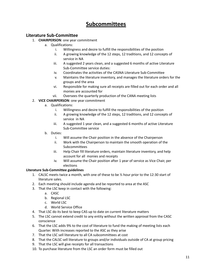# **Subcommittees**

# **Literature Sub-Committee**

- 1. **CHAIRPERSON**: one year commitment
	- a. Qualifications:
		- i. Willingness and desire to fulfill the responsibilities of the position
		- ii. A growing knowledge of the 12 steps, 12 traditions, and 12 concepts of service in NA
		- iii. A suggested 2 years clean, and a suggested 6 months of active Literature Sub-Committee service duties:
		- iv. Coordinates the activities of the CASNA Literature Sub-Committee
		- v. Maintains the literature inventory, and manages the literature orders for the groups and the area
		- vi. Responsible for making sure all receipts are filled out for each order and all monies are accounted for
		- vii. Oversees the quarterly production of the CANA meeting lists
- 2. **VICE CHAIRPERSON**: one year commitment
	- a. Qualifications:
		- i. Willingness and desire to fulfill the responsibilities of the position
		- ii. A growing knowledge of the 12 steps, 12 traditions, and 12 concepts of service in NA
		- iii. A suggested 1 year clean, and a suggested 6 months of active Literature Sub-Committee service
	- b. Duties:
		- i. Will assume the Chair position in the absence of the Chairperson
		- ii. Work with the Chairperson to maintain the smooth operation of the **Subcommittees**
		- iii. Help Chair fill literature orders, maintain literature inventory, and help account for all monies and receipts
		- iv. Will assume the Chair position after 1 year of service as Vice Chair, per elections

## **Literature Sub-Committee guidelines**

- 1. CALSC meets twice a month, with one of these to be  $\frac{1}{2}$  hour prior to the 12:30 start of literature sales.
- 2. Each meeting should include agenda and be reported to area at the ASC
- 3. That the LSC keep in contact with the following:
	- a. CASC
	- b. Regional LSC
	- c. World LSC
	- d. World Service Office
- 4. That LSC do its best to keep CAS up to date on current literature matters
- 5. The LSC cannot extend credit to any entity without the written approval from the CASC conscience
- 6. That the LSC adds 9% to the cost of literature to fund the making of meeting lists each Quarter. With increases reported to the ASC as they arise
- 7. That the LSC sell literature to all CA subcommittees at cost
- 8. That the CALSC sell literature to groups and/or individuals outside of CA at group pricing
- 9. That the LSC will give receipts for all transactions
- 10. To purchase literature from the LSC an order form must be filled out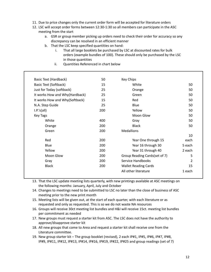- 11. Due to price changes only the current order form will be accepted for literature orders
- 12. LSC will accept order forms between 12:30-1:30 so all members can participate in the ASC meeting from the start
	- a. GSR or group member picking up orders need to check their order for accuracy so any discrepancy can be resolved in an efficient manner
	- b. That the LSC keep specified quantities on hand:
		- i. That all large booklets be purchased by LSC at discounted rates for bulk orders (example bundles of 100). These should only be purchased by the LSC in those quantities
		- ii. Quantities Referenced in chart below

| Basic Text (Hardback)          | 50  | <b>Key Chips</b>              |        |
|--------------------------------|-----|-------------------------------|--------|
| <b>Basic Text (Softback)</b>   | 15  | White                         | 50     |
| Just for Today (softback)      | 25  | Orange                        | 50     |
| It works How and Why(Hardback) | 25  | Green                         | 50     |
| It works How and Why(Softback) | 15  | Red                           | 50     |
| N.A. Step Guide                | 25  | Blue                          | 50     |
| I.P.'s(all)                    | 200 | Yellow                        | 50     |
| Key Tags                       |     | Moon Glow                     | 50     |
| White                          | 400 | Gray                          | 50     |
| Orange                         | 200 | <b>Black</b>                  | 50     |
| Green                          | 200 | <b>Medallions</b>             |        |
|                                |     |                               | 10     |
| Red                            | 200 | Year One through 15           | each   |
| Blue                           | 200 | Year 16 through 30            | 5 each |
| Yellow                         | 200 | Year 31 through 40            | 2 each |
| Moon Glow                      | 200 | Group Reading Cards(set of 7) | 5      |
| Gray                           | 200 | Service Handbooks             | 2      |
| <b>Black</b>                   | 200 | <b>Wallet Reading Cards</b>   | 15     |
|                                |     | All other literature          | 1 each |

- 13. That the LSC update meeting lists quarterly, with new printings available at ASC meetings on the following months: January, April, July and October
- 14. Changes to meetings need to be submitted to LSC no later than the close of business of ASC meeting prior to the new print month
- 15. Meeting lists will be given out, at the start of each quarter, with each literature or as requested and only as requested. This is so we do not waste NA resources
- 16. Groups will receive 30ct meeting list bundles and H&I will receive 15ct. meeting list bundles per commitment as needed
- 17. New groups must request a starter kit from ASC. The LSC does not have the authority to approve/disapprove starter kit
- 18. All new groups that come to Area and request a starter kit shall receive one from the Literature committee.
- 19. New group starter kit The group booklet (revised), 2 each IP#1, IP#5, IP#6, IP#7, IP#8, IP#9, IP#11, IP#12, IP#13, IP#14, IP#16, IP#19, IP#22, IP#25 and group readings (set of 7)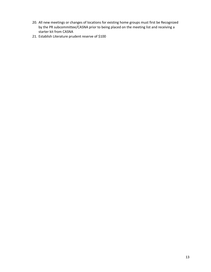- 20. All new meetings or changes of locations for existing home groups must first be Recognized by the PR subcommittee/CASNA prior to being placed on the meeting list and receiving a starter kit from CASNA
- 21. Establish Literature prudent reserve of \$100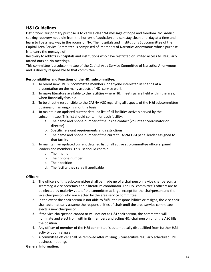# **H&I Guidelines**

**Definition:** Our primary purpose is to carry a clear NA message of hope and freedom. No Addict seeking recovery need die from the horrors of addiction and can stay clean one day at a time and learn to live a new way in the rooms of NA. The hospitals and Institutions Subcommittee of the Capital Area Service Committee is comprised of members of Narcotics Anonymous whose purpose is to carry the message of

Recovery to addicts in hospitals and institutions who have restricted or limited access to Regularly attend outside NA meetings.

This committee is a subcommittee of the Capital Area Service Committee of Narcotics Anonymous, and is directly responsible to that committee

#### **Responsibilities and Functions of the H&I subcommittee:**

- 1. To orient new H&I subcommittee members, or anyone interested in sharing at a presentation on the many aspects of H&I service work
- 2. To make literature available to the facilities where H&I meetings are held within the area, when financially feasible.
- 3. To be directly responsible to the CASNA ASC regarding all aspects of the H&I subcommittee business on an ongoing monthly basis.
- 4. To maintain an updated current detailed list of all facilities actively served by the subcommittee. This list should contain for each facility:
	- a. The name and phone number of the inside contact (volunteer coordinator or director)
	- b. Specific relevant requirements and restrictions
	- c. The name and phone number of the current CASNA H&I panel leader assigned to that facility
- 5. To maintain an updated current detailed list of all active sub-committee officers, panel leaders and members. This list should contain:
	- a. Their name
	- b. Their phone number
	- c. Their position
	- d. The facility they serve if applicable

#### **Officers**:

- 1. The officers of this subcommittee shall be made up of a chairperson, a vice chairperson, a secretary, a vice secretary and a literature coordinator. The H&I committee's officers are to be elected by majority vote of the committee at large, except for the chairperson and the vice chairperson who are elected by the area service committee
- 2. In the event the chairperson is not able to fulfill the responsibilities or resigns, the vice chair shall automatically assume the responsibilities of chair until the area service committee elects a new chairperson
- 3. If the vice chairperson cannot or will not act as H&I chairperson, the committee will nominate and elect from within its members and acting H&I chairperson until the ASC fills the position
- 4. Any officer of member of the H&I committee is automatically disqualified from further H&I activity upon relapse
- 5. A committee officer shall be removed after missing 3 consecutive regularly scheduled H&I business meetings

#### **General Information:**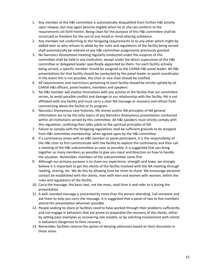- 1. Any member of the H&I committee is automatically disqualified from further H&I activity upon relapse, but may again become eligible when he or she can conform to the requirements set forth herein. Being clean for the purpose of this H&I committee shall be construed as freedom for the use of any mood or mind-altering substance.
- 2. Any member not conforming to the foregoing requirements or to any other which might be added later or who refuses to abide by the rules and regulations of the facility being served shall automatically be relieved of any H&I committee assignments previously granted.
- 3. No Narcotics Anonymous meeting regularly conducted under the auspices of this committee shall be held in any institution, except under the direct supervision of the H&I committee or delegated leader specifically appointed by them. For each facility actively being served, a specific member should be assigned as the CASNA H&I panel leader. All H&I presentations for that facility should be conducted by the panel leader or panel coordinator. In the event this is not possible, the chair or vice chair should be notified.
- 4. All requirements and restrictions pertaining to each facility should be strictly upheld by all CANSA H&I officers, panel leaders, members and speakers
- 5. No H&I member will involve themselves with any activity at the facility that our committee serves, to avoid possible conflict and damage to our relationship with the facility. NA is not affiliated with any facility and must carry a clear NA message or recovery and refrain from commenting about the facility or its program.
- 6. Narcotics Anonymous case histories, life stories and/or NA principles of NA general information are to be the only topics of any Narcotics Anonymous presentation conducted within all institutions served by this committee. All H&I speakers must strictly comply with this regulation, confining their talks solely to the spiritual principles of NA
- 7. Failure to comply with the foregoing regulations shall be sufficient grounds to be dropped from H&I committee membership, when agreed upon by the H&I committee
- 8. If a controversy arises with an H&I member or panel participant, it is the responsibility of the H&I chair to first communicate with the facility to explore the controversy and then call a meeting of the H&I subcommittee as soon as possible. It is suggested that you bring together as many members as possible to give you input and direction on how to handle the situation. Remember, members of the subcommittee come first
- 9. Although our primary purpose is to share our experience, strength and hope, we strongly believe it is important to get the clients of the facility involved with the NA meeting through reading, sharing, etc. We do this by allowing time for them to share. We encourage personal contact be established with the clients, men with men and women with women, within the rules and regulations of the facility
- 10. Carry the message, the basic text, not the mess, read from it and refer to it during the presentation
- 11. A well rounded message is presented by more than the person attending. Call someone and ask them to help you carry the message. It is suggested that a panel of two to five members attend the presentation wherever possible.
- 12. People seeking to share at facilities need to have worked through their problems sufficiently and not engage in behaviors that are prone to jeopardize the recovery of the clients, either by setting poor examples as recovering role models, or by soliciting involvement with clients in behaviors dangerous to their recovery.
- 13. Remember, facilities reserve the option of denying admission based on their discretion in these areas.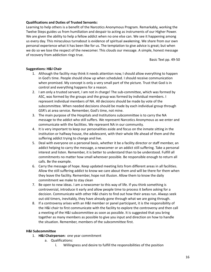#### **Qualifications and Duties of Trusted Servants:**

Learning to help others is a benefit of the Narcotics Anonymous Program. Remarkably, working the Twelve Steps guides us from humiliation and despair to acting as instruments of our Higher Power. We are given the ability to help a fellow addict when no one else can. We see it happening among us every day. This miraculous turnabout is evidence of spiritual awakening. We share from our own personal experience what it has been like for us. The temptation to give advice is great; but when we do so we lose the respect of the newcomer. This clouds our message. A simple, honest message of recovery from addiction rings true.

Basic Text pp. 49-50

#### **Suggestions: H&I Chair**

- 1. Although the facility may think it needs attention now, I should allow everything to happen in God's time. People should show up when scheduled. I should receive communication when promised. My concept is only a very small part of the picture. Trust that God is in control and everything happens for a reason.
- 2. I am only a trusted servant, I am not in charge! The sub-committee, which was formed by ASC, was formed by the groups and the group was formed by individual members. I represent individual members of NA. All decisions should be made by vote of the subcommittee. When needed decisions should be made by each individual group through GSR's at area service. Remember, God's time, not mine.
- 3. The main purpose of the Hospitals and Institutions subcommittee is to carry the NA message to the addict who still suffers. We represent Narcotics Anonymous as we enter and communicate with the facilities. We represent NA in our community.
- 4. It is very important to keep our personalities aside and focus on the inmate sitting in the institution or halfway house, the adolescent, with their whole life ahead of them and the suffering addict trying to change and live.
- 5. Deal with everyone on a personal basis, whether it be a facility director or staff member, an addict helping to carry the message, a newcomer or an addict still suffering. Take a personal interest and listen. Remember, it is better to understand than to be understood. Fulfill all commitments no matter how small wherever possible. Be responsible enough to return all calls. Be the example.
- 6. Carry the message of hope. Keep updated meeting lists from different areas in all facilities. Allow the still suffering addict to know we care about them and will be there for them when they leave the facility. Remember, hope not illusion. Allow them to know the daily commitment we make to stay clean
- 7. Be open to new ideas. I am a newcomer to this way of life. If you think something is controversial, introduce it early and allow people time to process it before asking for a decision. Communicate with other H&I chairs to find out how their areas run. Always seek out old timers, inevitably, they have already gone through what we are going through.
- 8. If a controversy arises with an H&I member or panel participant, it is the responsibility of the H&I chair to first communicate with the facility to explore the controversy and then call a meeting of the H&I subcommittee as soon as possible. It is suggested that you bring together as many members as possible to give you input and direction on how to handle the situation. Remember, members of the subcommittee first.

#### **H&I Subcommittee**

- 1. **H&I Chairperson:** one year commitment
	- a. Qualifications:
		- i. Willingness and desire to fulfill the responsibilities of the position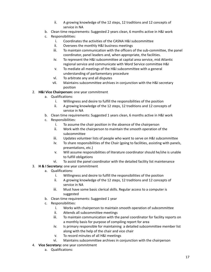- ii. A growing knowledge of the 12 steps, 12 traditions and 12 concepts of service in NA
- b. Clean time requirements: Suggested 2 years clean, 6 months active in H&I work
- c. Responsibilities:
	- i. Coordinates the activities of the CASNA H&I subcommittee
	- ii. Oversees the monthly H&I business meetings
	- iii. To maintain communication with the officers of the sub-committee, the panel coordinator, panel leaders and, when appropriate, the facilities.
	- iv. To represent the H&I subcommittee at capital area service, mid Atlantic regional service and communicate with Word Service committee H&I
	- v. To mediate all meetings of the H&I subcommittee with a general understanding of parliamentary procedure
	- vi. To arbitrate any and all disputes
	- vii. Maintains subcommittee archives in conjunction with the H&I secretary position
- 2. **H&I Vice Chairperson:** one year commitment
	- a. Qualifications:
		- i. Willingness and desire to fulfill the responsibilities of the position
		- ii. A growing knowledge of the 12 steps, 12 traditions and 12 concepts of service in NA
	- b. Clean time requirements: Suggested 1 years clean, 6 months active in H&I work
	- c. Responsibilities:
		- i. To assume the chair position in the absence of the chairperson
		- ii. Work with the chairperson to maintain the smooth operation of the subcommittee
		- iii. Updates volunteer lists of people who want to serve on H&I subcommittee
		- iv. To share responsibilities of the Chair (going to facilities, assisting with panels, presentations, etc.)
		- v. Will assume responsibilities of literature coordinator should he/she is unable to fulfill obligations
		- vi. To assist the panel coordinator with the detailed facility list maintenance
- 3. **H & I Secretary:** one year commitment
	- a. Qualifications:
		- i. Willingness and desire to fulfill the responsibilities of the position
		- ii. A growing knowledge of the 12 steps, 12 traditions and 12 concepts of service in NA
		- iii. Must have some basic clerical skills. Regular access to a computer is suggested
	- b. Clean time requirements: Suggested 1 year
	- c. Responsibilities:
		- i. Works with chairperson to maintain smooth operation of subcommittee
		- ii. Attends all subcommittee meetings
		- iii. To maintain communication with the panel coordinator for facility reports on a monthly basis for purpose of compiling report for area
		- iv. Is primary responsible for maintaining a detailed subcommittee member list along with the help of the chair and vice chair
		- v. To record minutes of all H&I meetings
		- vi. Maintains subcommittee archives in conjunction with the chairperson
- 4. **Vice Secretary:** one year commitment
	- a. Qualifications: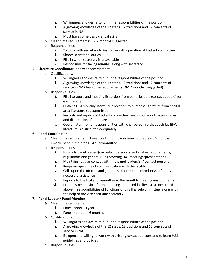- i. Willingness and desire to fulfill the responsibilities of the position
- ii. A growing knowledge of the 12 steps, 12 traditions and 12 concepts of service in NA
- iii. Must have some basic clerical skills
- b. Clean time requirements: 9-12 months suggested
- c. Responsibilities:
	- i. To work with secretary to insure smooth operation of H&I subcommittee
	- ii. Shares secretarial duties
	- iii. Fills in when secretary is unavailable
	- iv. Responsible for taking minutes along with secretary
- 5. **Literature Coordinator**: one year commitment
	- a. Qualifications:
		- i. Willingness and desire to fulfill the responsibilities of the position
		- ii. A growing knowledge of the 12 steps, 12 traditions and 12 concepts of service in NA Clean time requirements: 9-12 months (suggested)
	- b. Responsibilities:
		- i. Fills literature and meeting list orders from panel leaders (contact people) for each facility
		- ii. Obtains H&I monthly literature allocation to purchase literature from capital area literature subcommittee
		- iii. Records and reports at H&I subcommittee meeting on monthly purchases and distribution of literature
		- iv. Coordinates his/her responsibilities with chairperson so that each facility's literature is distributed adequately

#### 6. **Panel Coordinator**

- a. Clean time requirement: 1 year continuous clean time, plus at least 6 months involvement in the area H&I subcommittee
- b. Responsibilities:
	- i. Instructs panel leaders(s)/contact persons(s) in facilities requirements, regulations and general rules covering H&I meetings/presentations
	- ii. Maintains regular contact with the panel leaders(s) / contact persons
	- iii. Keeps an open line of communication with the facility
	- iv. Calls upon the officers and general subcommittee membership for any necessary assistance
	- v. Reports to the H&I subcommittee at the monthly meeting any problems
	- vi. Primarily responsible for maintaining a detailed facility list, as described above in responsibilities of functions of this H&I subcommittee, along with the help of the vice chair and secretary.

#### 7. **Panel Leader / Panel Member**

- a. Clean time requirement:
	- i. Panel leader I year
	- ii. Panel member 6 months
- b. Qualifications:
	- i. Willingness and desire to fulfill the responsibilities of the position
	- ii. A growing knowledge of the 12 steps, 12 traditions and 12 concepts of service in NA
	- iii. Be open and willing to work with existing contact persons and to learn H&I guidelines and policies
- c. Responsibilities: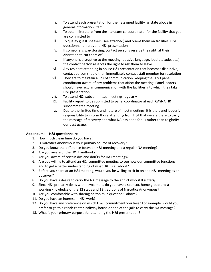- i. To attend each presentation for their assigned facility, as state above in general information, item 3
- ii. To obtain literature from the literature co-coordinator for the facility that you are committed to
- iii. To qualify guest speakers (see attached) and orient them on facilities, H&I questionnaire, rules and H&I presentation
- iv. If someone is war-storying, contact persons reserve the right, at their discretion to cut them off
- v. If anyone is disruptive to the meeting (abusive language, loud attitude, etc.) the contact person reserves the right to ask them to leave
- vi. Any resident attending in house H&I presentation that becomes disruptive, contact person should then immediately contact staff member for resolution
- vii. They are to maintain a link of communication, keeping the H & I panel coordinator aware of any problems that affect the meeting. Panel leaders should have regular communication with the facilities into which they take H&I presentation
- viii. To attend H&I subcommittee meetings regularly
- ix. Facility report to be submitted to panel coordinator at each CASNA H&I subcommittee meeting
- x. Due to the limited time and nature of most meetings, it is the panel leader's responsibility to inform those attending from H&I that we are there to carry the message of recovery and what NA has done for us rather than to glorify our past usage.

#### **Addendum I – H&I questionnaire**

- 1. How much clean time do you have?
- 2. Is Narcotics Anonymous your primary source of recovery?
- 3. Do you know the difference between H&I meeting and a regular NA meeting?
- 4. Are you aware of the H&I handbook?
- 5. Are you aware of certain dos and don'ts for H&I meetings?
- 6. Are you willing to attend an H&I committee meeting to see how our committee functions and to get a better understanding of what H&I is all about?
- 7. Before you share at an H&I meeting, would you be willing to sit in on and H&I meeting as an observer?
- 8. Do you have a desire to carry the NA message to the addict who still suffers/
- 9. Since H&I primarily deals with newcomers, do you have a sponsor, home group and a working knowledge of the 12 steps and 12 traditions of Narcotics Anonymous?
- 10. Are you comfortable with sharing on topics in question 9 above?
- 11. Do you have an interest in H&I work?
- 12. Do you have any preference on which H & I commitment you take? For example, would you prefer to go to a rehab center, halfway house or one of the jails to carry the NA message?
- 13. What is your primary purpose for attending the H&I presentation?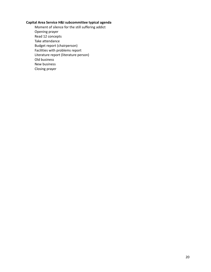#### **Capital Area Service H&I subcommittee typical agenda**

Moment of silence for the still suffering addict Opening prayer Read 12 concepts Take attendance Budget report (chairperson) Facilities with problems report Literature report (literature person) Old business New business Closing prayer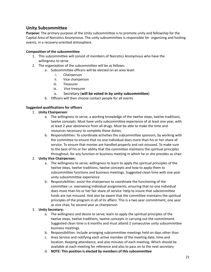# **Unity Subcommittee**

**Purpose:** The primary purpose of the Unity subcommittee is to promote unity and fellowship for the Capital Area of Narcotics Anonymous. The unity subcommittee is responsible for organizing and hosting events, in a recovery-oriented atmosphere.

#### **Composition of the subcommittee**

- 1. This subcommittee will consist of members of Narcotics Anonymous who have the willingness to serve
- 2. The organization of the subcommittee will be as follows:
	- a. Subcommittee officers will be elected on an area level:
		- i. Chairperson
		- ii. Vice chairperson
		- iii. Treasurer
		- ix. Vice treasurer
		- x. Secretary (**will be voted in by unity subcommittee**)
	- b. Officers will then choose contact people for all events

#### **Suggested qualifications for officers**

- 1. **Unity Chairperson**:
	- a. The willingness to serve, a working knowledge of the twelve steps, twelve traditions, twelve concepts. Must have unity subcommittee experience of at least one year, with at least 2 year abstinence from all drugs. Must be able to make the time and resources necessary to complete these duties.
	- b. Responsibilities: To coordinate activities the subcommittee sponsors, by working with the committee to ensure that no one individual does more than his or her share of service. To ensure that monies are handled properly and not misused. To make sure to the best of his or her ability that the committee maintains the spiritual principles throughout, for any function or business meeting in which he or she presides as chair.

#### 2. **Unity Vice Chairperson:**

- a. The willingness to serve; willingness to learn to apply the spiritual principles of the twelve steps, twelve traditions, twelve concepts and how to apply them to subcommittee functions and business meetings. Suggested clean time with one year unity subcommittee experience
- b. Responsibilities: assist the chairperson to coordinate the functioning of the committee i.e. overseeing individual assignments, ensuring that no one individual does more than his or her fair share of service. Help to insure that subcommittee funds are not misused. And also be aware that the committee maintains the spiritual principles of the program in all of its affairs. This is a two year commitment, one year as vice chair, he second year as chairperson

#### 3. **Unity Secretary:**

- a. The willingness and desire to serve; learn to apply the spiritual principles of the twelve steps, twelve traditions, twelve concepts in carrying out the commitment. Suggested clean time is 6 months and must attend 2 consecutive unity subcommittee business meetings.
- b. Responsibilities: include arranging subcommittee meetings held on days other than
- c. Area Service and notifying each active member of the meeting date, time and location. Keeping attendance, and also minutes of each meeting. Which should be available at each meeting for reference and also to pass on to the next secretary
- d. **NOTE: This position is elected by members of this subcommittee**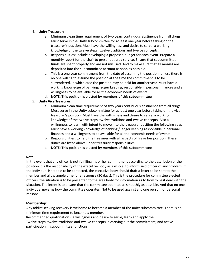#### 4. **Unity Treasurer:**

- a. Minimum clean time requirement of two years continuous abstinence from all drugs. Must serve in the Unity subcommittee for at least one year before taking on the treasurer's position. Must have the willingness and desire to serve, a working knowledge of the twelve steps, twelve traditions and twelve concepts.
- b. Responsibilities: include developing a proposed budget for each event. Prepare a monthly report for the chair to present at area service. Ensure that subcommittee funds are spent properly and are not misused. And to make sure that all monies are deposited into the subcommittee account as soon as possible.
- c. This is a one year commitment from the date of assuming the position, unless there is no one willing to assume the position at the time the commitment is to be surrendered, in which case the position may be held for another year. Must have a working knowledge of banking/ledger keeping; responsible in personal finances and a willingness to be available for all the economic needs of events.
- d. **NOTE: This position is elected by members of this subcommittee**

#### 5. **Unity Vice Treasurer:**

- a. Minimum clean time requirement of two years continuous abstinence from all drugs. Must serve in the Unity subcommittee for at least one year before taking on the vice treasurer's position. Must have the willingness and desire to serve, a working knowledge of the twelve steps, twelve traditions and twelve concepts. Also a willingness to learn with intent to move into the treasurer position the following year. Must have a working knowledge of banking / ledger keeping responsible in personal finances and a willingness to be available for all the economic needs of events.
- b. Responsibilities: to help the treasurer with all aspects of his or her position. These duties are listed above under treasurer responsibilities
- c. **NOTE: This position is elected by members of this subcommittee**

#### **Note:**

In the event that any officer is not fulfilling his or her commitment according to the description of the position it is the responsibility of the executive body as a whole, to inform said officer of any problem. If the individual isn't able to be contacted, the executive body should draft a letter to be sent to the member and allow ample time for a response (30 days). This is the procedure for committee elected officers, the situation is to be presented to the area body for information as to how to best deal with the situation. The intent is to ensure that the committee operates as smoothly as possible. And that no one individual governs how the committee operates. Not to be used against any one person for personal reasons

#### M**embership:**

Any addict seeking recovery is welcome to become a member of the unity subcommittee. There is no minimum time requirement to become a member.

Recommended qualifications: a willingness and desire to serve, learn and apply the Twelve steps, twelve traditions and twelve concepts in carrying out the commitment, and active participation in subcommittee functions.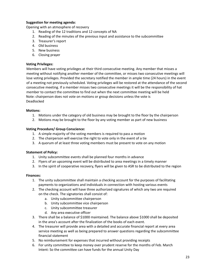#### **Suggestion for meeting agenda:**

Opening with an atmosphere of recovery

- 1. Reading of the 12 traditions and 12 concepts of NA
- 2. Reading of the minutes of the previous input and assistance to the subcommittee
- 3. Treasurer's report
- 4. Old business
- 5. New business
- 6. Closing prayer

#### **Voting Privileges:**

Members will have voting privileges at their third consecutive meeting. Any member that misses a meeting without notifying another member of the committee, or misses two consecutive meetings will lose voting privileges. Provided the secretary notified the member in ample time (24 hours) in the event of a meeting not previously scheduled. Voting privileges will be restored at the attendance of the second consecutive meeting. If a member misses two consecutive meetings it will be the responsibility of hat member to contact the committee to find out when the next committee meeting will be held Note: chairperson does not vote on motions or group decisions unless the vote is Deadlocked

#### **Motions:**

- 1. Motions under the category of old business may be brought to the floor by the chairperson
- 2. Motions may be brought to the floor by any voting member as part of new business

#### **Voting Procedure/ Group Conscience:**

- 1. A simple majority of the voting members is required to pass a motion
- 2. The chairperson will exercise the right to vote only in the event of a tie
- 3. A quorum of at least three voting members must be present to vote on any motion

#### **Statement of Policy:**

- 1. Unity subcommittee events shall be planned four months in advance
- 2. Flyers of an upcoming event will be distributed to area meetings in a timely manner
- 3. In the spirit of cooperative recovery, flyers will be given to ASR to be distributed to the region

#### **Finances:**

- 1. The unity subcommittee shall maintain a checking account for the purposes of facilitating payments to organizations and individuals in connection with hosting various events
- 2. The checking account will have three authorized signatures of which any two are required on the check. The signatories shall consist of:
	- a. Unity subcommittee chairperson
	- b. Unity subcommittee vice chairperson
	- c. Unity subcommittee treasurer
	- d. Any area executive officer
- 3. There shall be a balance of \$1000 maintained. The balance above \$1000 shall be deposited in the area's account after the finalization of the books of each event.
- 4. The treasurer will provide area with a detailed and accurate financial report at every area service meeting as well as being prepared to answer questions regarding the subcommittee financial statement
- 5. No reimbursement for expenses that incurred without providing receipts
- 6. For unity committee to keep money over prudent reserve for the months of Feb. March Intent: So the committee can have funds for the annual Unity Day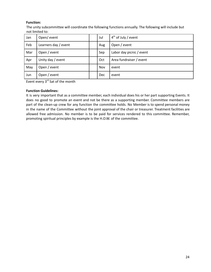#### **Function:**

The unity subcommittee will coordinate the following functions annually. The following will include but not limited to:

| Jan | Open/ event          | Jul | $4th$ of July / event    |
|-----|----------------------|-----|--------------------------|
| Feb | Learners day / event | Aug | Open / event             |
| Mar | Open / event         | Sep | Labor day picnic / event |
| Apr | Unity day / event    | Oct | Area fundraiser / event  |
| May | Open / event         | Nov | event                    |
| Jun | Open / event         | Dec | event                    |

Event every 3<sup>rd</sup> Sat of the month

#### **Function Guidelines:**

It is very important that as a committee member, each individual does his or her part supporting Events. It does no good to promote an event and not be there as a supporting member. Committee members are part of the clean-up crew for any function the committee holds. No Member is to spend personal money in the name of the Committee without the joint approval of the chair or treasurer. Treatment facilities are allowed free admission. No member is to be paid for services rendered to this committee. Remember, promoting spiritual principles by example is the H.O.W. of the committee.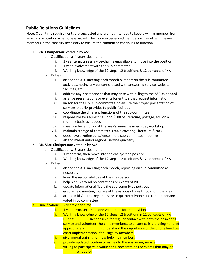# **Public Relations Guidelines**

Note: Clean time requirements are suggested and are not intended to keep a willing member from serving in a position when one is vacant. The more experienced members will work with newer members in the capacity necessary to ensure the committee continues to function.

- 1. **P.R. Chairperson**: voted in by ASC
	- a. Qualifications: 4 years clean time
		- i. 1 year term, unless a vice-chair is unavailable to move into the position
		- ii. 1 year involvement with the sub-committee
		- iii. Working knowledge of the 12 steps, 12 traditions & 12 concepts of NA
	- b. Duties:
		- i. attend the ASC meeting each month & report on the sub-committee activities, noting any concerns raised with answering service, website, facilities, etc.
		- ii. address any discrepancies that may arise with billing to the ASC as needed
		- iii. arrange presentations or events for entity's that request information
		- iv. liaison for the H&I sub-committee, to ensure the proper presentation of services that NA provides to public facilities
		- v. coordinate the different functions of the sub-committee
		- vi. responsible for requesting up to \$100 of literature, postage, etc. on a monthly basis as needed
		- vii. speak on behalf of PR at the area's annual learner's day workshop
		- viii. maintain storage of committee's table covering, literature & rack
		- ix. does have a voting conscience in the sub-committee meetings
		- x. attend mid-atlantics regional service quarterly

#### 2. **P.R. Vice-Chairperson**: voted in by ACS

- a. Qualifications: 3 years clean time
	- i. 1 year term, then move into the chairperson position
	- ii. Working knowledge of the 12 steps, 12 traditions & 12 concepts of NA
- b. Duties:
	- i. attend the ASC meeting each month, reporting on sub-committee as necessary
	- ii. learn the responsibilities of the chairperson
	- iii. help plan & attend presentations or events of PR
	- iv. update informational flyers the sub-committee puts out
	- v. ensure new meeting lists are at the various offices throughout the area
	- vi. attend mid-Atlantic regional service quarterly Phone line contact person: voted in by committee

#### 3. Qualifications: - 2 years clean time

- $i.$  1 year term, unless no one volunteers for the position
- ii. Working knowledge of the 12 steps, 12 traditions & 12 concepts of NA Duties: **- Responsible for regular contact with both the answering** service and volunteer helpline members, to ensure calls are being handled appropriately **- understand the importance of the phone line flow** chart implementation for usage by members
- iii. give annual training for new helpline members
- iv. provide updated rotation of names to the answering service
- v. willing to participate in workshops, presentations or events that may be scheduled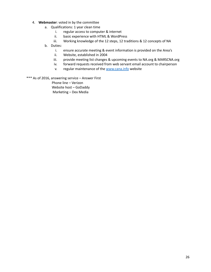- 4. **Webmaster**: voted in by the committee
	- a. Qualifications: 1 year clean time
		- i. regular access to computer & internet
		- ii. basic experience with HTML & WordPress
		- iii. Working knowledge of the 12 steps, 12 traditions & 12 concepts of NA
	- b. Duties:
		- i. ensure accurate meeting & event information is provided on the Area's
		- ii. Website, established in 2004
		- iii. provide meeting list changes & upcoming events to NA.org & MARSCNA.org
		- iv. forward requests received from web servant email account to chairperson
		- v. regular maintenance of the [www.cana.info](http://www.cana.info/) website
- \*\*\* As of 2016, answering service Answer First

Phone line – Verizon Website host – GoDaddy Marketing – Dex Media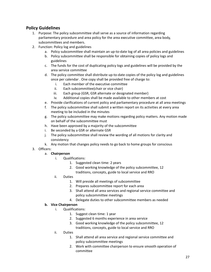# **Policy Guidelines**

- 1. Purpose: The policy subcommittee shall serve as a source of information regarding parliamentary procedure and area policy for the area executive committee, area body, subcommittees and members.
- 2. Function: Policy log and guidelines
	- a. Policy subcommittee shall maintain an up-to-date log of all area policies and guidelines
	- b. Policy subcommittee shall be responsible for obtaining copies of policy logs and guidelines
	- c. The funds for the cost of duplicating policy logs and guidelines will be provided by the area service committee
	- d. The policy committee shall distribute up-to-date copies of the policy log and guidelines once per calendar . One copy shall be provided free of charge to:
		- i. Each member of the executive committee
		- ii. Each subcommittee(chair or vice chair)
		- iii. Each group (GSR, GSR alternate or designated member)
		- iv. Additional copies shall be made available to other members at cost
	- e. Provide clarifications of current policy and parliamentary procedure at all area meetings
	- f. The policy subcommittee shall submit a written report on its activities at every area meeting to be included in the minutes
	- g. The policy subcommittee may make motions regarding policy matters. Any motion made on behalf of the subcommittee must
	- h. Have been approved by a majority of the subcommittee
	- i. Be seconded by a GSR or alternate GSR
	- j. The policy subcommittee shall review the wording of all motions for clarity and consistency
	- k. Any motion that changes policy needs to go back to home groups for conscious
- 3. Officers:

#### a. **Chairperson**

- i. Qualifications:
	- 1. Suggested clean time: 2 years
	- 2. Good working knowledge of the policy subcommittee, 12 traditions, concepts, guide to local service and RRO
- ii. Duties
	- 1. Will preside all meetings of subcommittee
	- 2. Prepares subcommittee report for each area
	- 3. Shall attend all area services and regional service committee and policy subcommittee meetings
	- 4. Delegate duties to other subcommittee members as needed

#### **b. Vice Chairperson**

- i. Qualifications:
	- 1. Suggest clean time: 1 year
	- 2. Suggested 6 months experience in area service
	- 3. Good working knowledge of the policy subcommittee, 12 traditions, concepts, guide to local service and RRO
- ii. Duties
	- 1. Shall attend all area service and regional service committee and policy subcommittee meetings
	- 2. Work with committee chairperson to ensure smooth operation of committee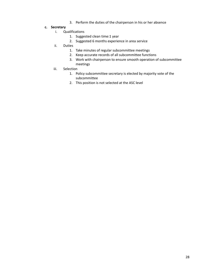3. Perform the duties of the chairperson in his or her absence

#### **c. Secretary**

- i. Qualifications
	- 1. Suggested clean time:1 year
	- 2. Suggested 6 months experience in area service
- ii. Duties
	- 1. Take minutes of regular subcommittee meetings
	- 2. Keep accurate records of all subcommittee functions
	- 3. Work with chairperson to ensure smooth operation of subcommittee meetings
- iii. Selection
	- 1. Policy subcommittee secretary is elected by majority vote of the subcommittee
	- 2. This position is not selected at the ASC level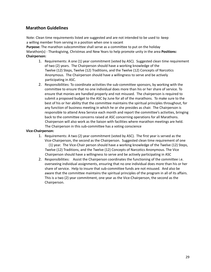# **Marathon Guidelines**

Note: Clean time requirements listed are suggested and are not intended to be used to keep a willing member from serving in a position when one is vacant

**Purpose:** The marathon subcommittee shall serve as a committee to put on the holiday Marathon(s) - Thanksgiving, Christmas and New Years to help promote unity in the area **Positions: Chairperson:**

- 1. Requirements: A one (1) year commitment (voted by ASC). Suggested clean time requirement of two (2) years. The Chairperson should have a working knowledge of the Twelve (12) Steps, Twelve (12) Traditions, and the Twelve (12) Concepts of Narcotics Anonymous. The Chairperson should have a willingness to serve and be actively participating in ASC.
- 2. Responsibilities: To coordinate activities the sub-committee sponsors, by working with the committee to ensure that no one individual does more than his or her share of service. To ensure that monies are handled properly and not misused. The chairperson is required to submit a proposed budget to the ASC by June for all of the marathons. To make sure to the best of his or her ability that the committee maintains the spiritual principles throughout, for any function of business meeting in which he or she presides as chair. The Chairperson is responsible to attend Area Service each month and report the committee's activities, bringing back to the committee concerns raised at ASC concerning operations for all Marathons. Chairperson will also work as the liaison with facilities where marathon meetings are held. The Chairperson in this sub-committee has a voting conscience

#### **Vice-Chairperson:**

- 1. Requirements: A two (2) year commitment (voted by ASC). The first year is served as the Vice-Chairperson, the second as the Chairperson. Suggested clean time requirement of one (1) year. The Vice-Chair person should have a working knowledge of the Twelve (12) Steps, Twelve (12) Traditions, and the Twelve (12) Concepts of Narcotics Anonymous. The Vice Chairperson should have a willingness to serve and be actively participating in ASC
- 2. Responsibilities: Assist the Chairperson coordinates the functioning of the committee i.e. overseeing individual assignments, ensuring that no one individual does more than his or her share of service. Help to insure that sub-committee funds are not misused. And also be aware that the committee maintains the spiritual principles of the program in all of its affairs. This is a two (2) year commitment, one year as the Vice-Chairperson, the second as the Chairperson.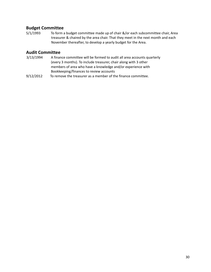## **Budget Committee**

5/1/1993 To form a budget committee made up of chair &/or each subcommittee chair, Area treasurer & chaired by the area chair. That they meet in the next month and each November thereafter, to develop a yearly budget for the Area.

## **Audit Committee**

- 3/13/1994 A finance committee will be formed to audit all area accounts quarterly (every 3 months). To include treasurer, chair along with 3 other members of area who have a knowledge and/or experience with Bookkeeping/finances to review accounts
- 9/12/2012 To remove the treasurer as a member of the finance committee.